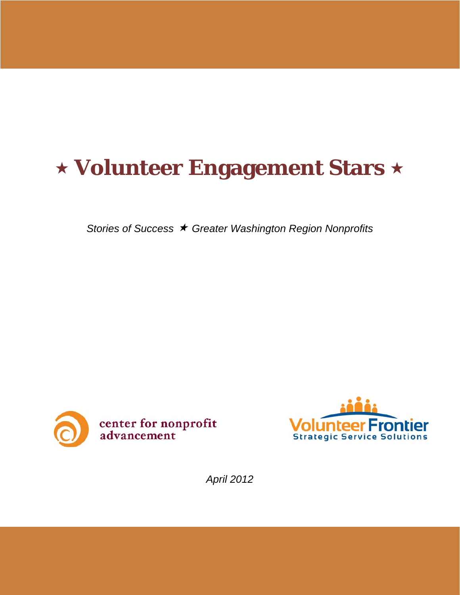# **Volunteer Engagement Stars**

*Stories of Success Greater Washington Region Nonprofits*





*April 2012*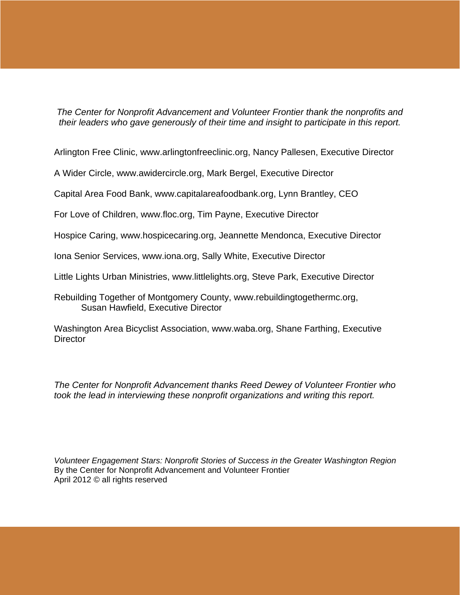*The Center for Nonprofit Advancement and Volunteer Frontier thank the nonprofits and their leaders who gave generously of their time and insight to participate in this report.* 

Arlington Free Clinic, www.arlingtonfreeclinic.org, Nancy Pallesen, Executive Director

A Wider Circle, www.awidercircle.org, Mark Bergel, Executive Director

Capital Area Food Bank, www.capitalareafoodbank.org, Lynn Brantley, CEO

For Love of Children, www.floc.org, Tim Payne, Executive Director

Hospice Caring, www.hospicecaring.org, Jeannette Mendonca, Executive Director

Iona Senior Services, www.iona.org, Sally White, Executive Director

Little Lights Urban Ministries, www.littlelights.org, Steve Park, Executive Director

Rebuilding Together of Montgomery County, www.rebuildingtogethermc.org, Susan Hawfield, Executive Director

Washington Area Bicyclist Association, www.waba.org, Shane Farthing, Executive **Director** 

*The Center for Nonprofit Advancement thanks Reed Dewey of Volunteer Frontier who took the lead in interviewing these nonprofit organizations and writing this report.* 

*Volunteer Engagement Stars: Nonprofit Stories of Success in the Greater Washington Region*  By the Center for Nonprofit Advancement and Volunteer Frontier April 2012 © all rights reserved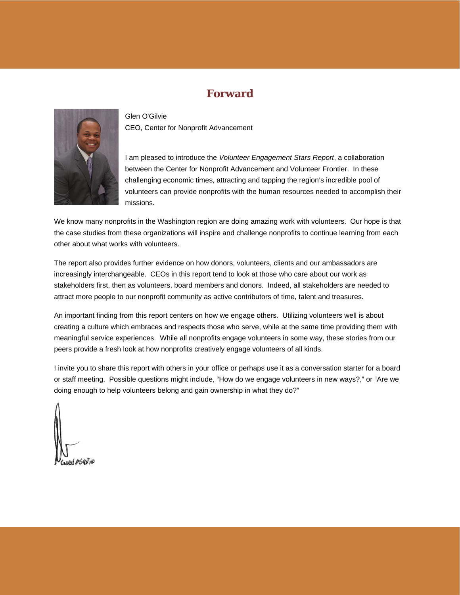## **Forward**



Glen O'Gilvie CEO, Center for Nonprofit Advancement

I am pleased to introduce the *Volunteer Engagement Stars Report*, a collaboration between the Center for Nonprofit Advancement and Volunteer Frontier. In these challenging economic times, attracting and tapping the region's incredible pool of volunteers can provide nonprofits with the human resources needed to accomplish their missions.

We know many nonprofits in the Washington region are doing amazing work with volunteers. Our hope is that the case studies from these organizations will inspire and challenge nonprofits to continue learning from each other about what works with volunteers.

The report also provides further evidence on how donors, volunteers, clients and our ambassadors are increasingly interchangeable. CEOs in this report tend to look at those who care about our work as stakeholders first, then as volunteers, board members and donors. Indeed, all stakeholders are needed to attract more people to our nonprofit community as active contributors of time, talent and treasures.

An important finding from this report centers on how we engage others. Utilizing volunteers well is about creating a culture which embraces and respects those who serve, while at the same time providing them with meaningful service experiences. While all nonprofits engage volunteers in some way, these stories from our peers provide a fresh look at how nonprofits creatively engage volunteers of all kinds.

I invite you to share this report with others in your office or perhaps use it as a conversation starter for a board or staff meeting. Possible questions might include, "How do we engage volunteers in new ways?," or "Are we doing enough to help volunteers belong and gain ownership in what they do?"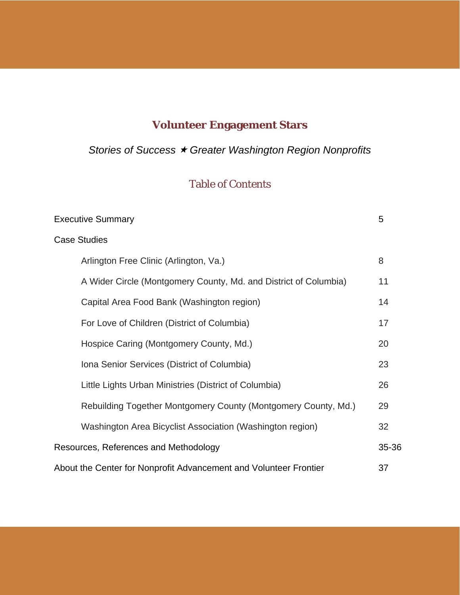# **Volunteer Engagement Stars**

*Stories of Success Greater Washington Region Nonprofits*

# Table of Contents

| <b>Executive Summary</b>                                          | 5     |
|-------------------------------------------------------------------|-------|
| <b>Case Studies</b>                                               |       |
| Arlington Free Clinic (Arlington, Va.)                            | 8     |
| A Wider Circle (Montgomery County, Md. and District of Columbia)  | 11    |
| Capital Area Food Bank (Washington region)                        | 14    |
| For Love of Children (District of Columbia)                       | 17    |
| Hospice Caring (Montgomery County, Md.)                           | 20    |
| Iona Senior Services (District of Columbia)                       | 23    |
| Little Lights Urban Ministries (District of Columbia)             | 26    |
| Rebuilding Together Montgomery County (Montgomery County, Md.)    | 29    |
| Washington Area Bicyclist Association (Washington region)         | 32    |
| Resources, References and Methodology                             | 35-36 |
| About the Center for Nonprofit Advancement and Volunteer Frontier | 37    |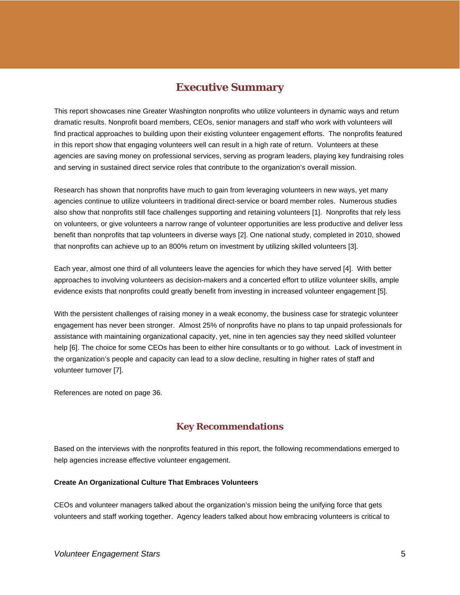## **Executive Summary**

This report showcases nine Greater Washington nonprofits who utilize volunteers in dynamic ways and return dramatic results. Nonprofit board members, CEOs, senior managers and staff who work with volunteers will find practical approaches to building upon their existing volunteer engagement efforts. The nonprofits featured in this report show that engaging volunteers well can result in a high rate of return. Volunteers at these agencies are saving money on professional services, serving as program leaders, playing key fundraising roles and serving in sustained direct service roles that contribute to the organization's overall mission.

Research has shown that nonprofits have much to gain from leveraging volunteers in new ways, yet many agencies continue to utilize volunteers in traditional direct-service or board member roles. Numerous studies also show that nonprofits still face challenges supporting and retaining volunteers [1]. Nonprofits that rely less on volunteers, or give volunteers a narrow range of volunteer opportunities are less productive and deliver less benefit than nonprofits that tap volunteers in diverse ways [2]. One national study, completed in 2010, showed that nonprofits can achieve up to an 800% return on investment by utilizing skilled volunteers [3].

Each year, almost one third of all volunteers leave the agencies for which they have served [4]. With better approaches to involving volunteers as decision-makers and a concerted effort to utilize volunteer skills, ample evidence exists that nonprofits could greatly benefit from investing in increased volunteer engagement [5].

With the persistent challenges of raising money in a weak economy, the business case for strategic volunteer engagement has never been stronger. Almost 25% of nonprofits have no plans to tap unpaid professionals for assistance with maintaining organizational capacity, yet, nine in ten agencies say they need skilled volunteer help [6]. The choice for some CEOs has been to either hire consultants or to go without. Lack of investment in the organization's people and capacity can lead to a slow decline, resulting in higher rates of staff and volunteer turnover [7].

References are noted on page 36.

## **Key Recommendations**

Based on the interviews with the nonprofits featured in this report, the following recommendations emerged to help agencies increase effective volunteer engagement.

## **Create An Organizational Culture That Embraces Volunteers**

CEOs and volunteer managers talked about the organization's mission being the unifying force that gets volunteers and staff working together. Agency leaders talked about how embracing volunteers is critical to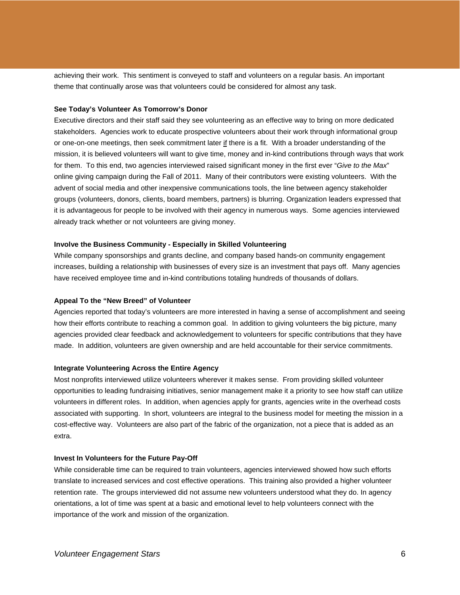achieving their work. This sentiment is conveyed to staff and volunteers on a regular basis. An important theme that continually arose was that volunteers could be considered for almost any task.

#### **See Today's Volunteer As Tomorrow's Donor**

Executive directors and their staff said they see volunteering as an effective way to bring on more dedicated stakeholders. Agencies work to educate prospective volunteers about their work through informational group or one-on-one meetings, then seek commitment later if there is a fit. With a broader understanding of the mission, it is believed volunteers will want to give time, money and in-kind contributions through ways that work for them. To this end, two agencies interviewed raised significant money in the first ever "*Give to the Max*" online giving campaign during the Fall of 2011. Many of their contributors were existing volunteers. With the advent of social media and other inexpensive communications tools, the line between agency stakeholder groups (volunteers, donors, clients, board members, partners) is blurring. Organization leaders expressed that it is advantageous for people to be involved with their agency in numerous ways. Some agencies interviewed already track whether or not volunteers are giving money.

## **Involve the Business Community - Especially in Skilled Volunteering**

While company sponsorships and grants decline, and company based hands-on community engagement increases, building a relationship with businesses of every size is an investment that pays off. Many agencies have received employee time and in-kind contributions totaling hundreds of thousands of dollars.

## **Appeal To the "New Breed" of Volunteer**

Agencies reported that today's volunteers are more interested in having a sense of accomplishment and seeing how their efforts contribute to reaching a common goal. In addition to giving volunteers the big picture, many agencies provided clear feedback and acknowledgement to volunteers for specific contributions that they have made. In addition, volunteers are given ownership and are held accountable for their service commitments.

#### **Integrate Volunteering Across the Entire Agency**

Most nonprofits interviewed utilize volunteers wherever it makes sense. From providing skilled volunteer opportunities to leading fundraising initiatives, senior management make it a priority to see how staff can utilize volunteers in different roles. In addition, when agencies apply for grants, agencies write in the overhead costs associated with supporting. In short, volunteers are integral to the business model for meeting the mission in a cost-effective way. Volunteers are also part of the fabric of the organization, not a piece that is added as an extra.

#### **Invest In Volunteers for the Future Pay-Off**

While considerable time can be required to train volunteers, agencies interviewed showed how such efforts translate to increased services and cost effective operations. This training also provided a higher volunteer retention rate. The groups interviewed did not assume new volunteers understood what they do. In agency orientations, a lot of time was spent at a basic and emotional level to help volunteers connect with the importance of the work and mission of the organization.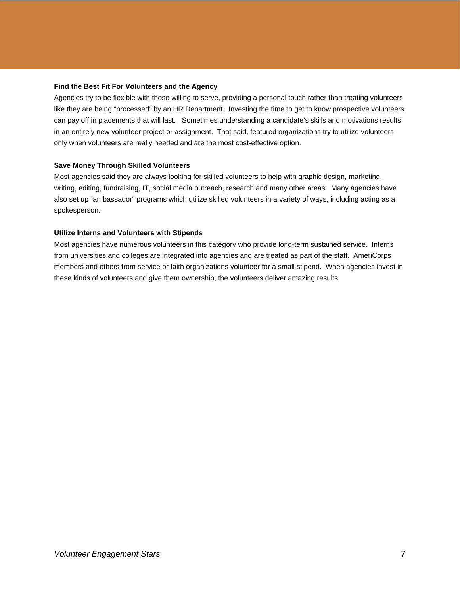## **Find the Best Fit For Volunteers and the Agency**

Agencies try to be flexible with those willing to serve, providing a personal touch rather than treating volunteers like they are being "processed" by an HR Department. Investing the time to get to know prospective volunteers can pay off in placements that will last. Sometimes understanding a candidate's skills and motivations results in an entirely new volunteer project or assignment. That said, featured organizations try to utilize volunteers only when volunteers are really needed and are the most cost-effective option.

## **Save Money Through Skilled Volunteers**

Most agencies said they are always looking for skilled volunteers to help with graphic design, marketing, writing, editing, fundraising, IT, social media outreach, research and many other areas. Many agencies have also set up "ambassador" programs which utilize skilled volunteers in a variety of ways, including acting as a spokesperson.

## **Utilize Interns and Volunteers with Stipends**

Most agencies have numerous volunteers in this category who provide long-term sustained service. Interns from universities and colleges are integrated into agencies and are treated as part of the staff. AmeriCorps members and others from service or faith organizations volunteer for a small stipend. When agencies invest in these kinds of volunteers and give them ownership, the volunteers deliver amazing results.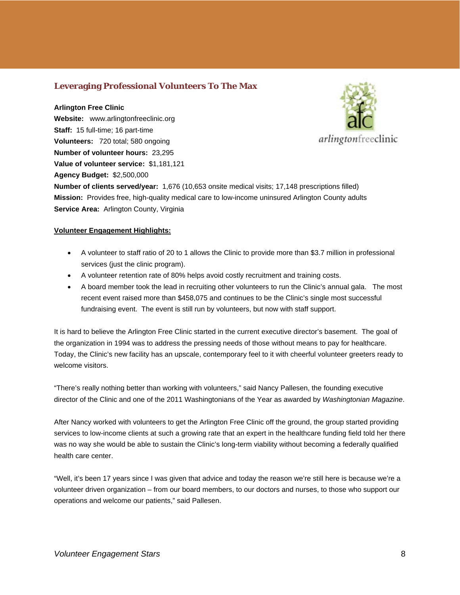## **Leveraging Professional Volunteers To The Max**

## **Arlington Free Clinic**

**Website:** www.arlingtonfreeclinic.org **Staff:** 15 full-time; 16 part-time **Volunteers:** 720 total; 580 ongoing **Number of volunteer hours:** 23,295 **Value of volunteer service:** \$1,181,121 **Agency Budget:** \$2,500,000



**Number of clients served/year:** 1,676 (10,653 onsite medical visits; 17,148 prescriptions filled) **Mission:** Provides free, high-quality medical care to low-income uninsured Arlington County adults **Service Area:** Arlington County, Virginia

## **Volunteer Engagement Highlights:**

- A volunteer to staff ratio of 20 to 1 allows the Clinic to provide more than \$3.7 million in professional services (just the clinic program).
- A volunteer retention rate of 80% helps avoid costly recruitment and training costs.
- A board member took the lead in recruiting other volunteers to run the Clinic's annual gala. The most recent event raised more than \$458,075 and continues to be the Clinic's single most successful fundraising event. The event is still run by volunteers, but now with staff support.

It is hard to believe the Arlington Free Clinic started in the current executive director's basement. The goal of the organization in 1994 was to address the pressing needs of those without means to pay for healthcare. Today, the Clinic's new facility has an upscale, contemporary feel to it with cheerful volunteer greeters ready to welcome visitors.

"There's really nothing better than working with volunteers," said Nancy Pallesen, the founding executive director of the Clinic and one of the 2011 Washingtonians of the Year as awarded by *Washingtonian Magazine*.

After Nancy worked with volunteers to get the Arlington Free Clinic off the ground, the group started providing services to low-income clients at such a growing rate that an expert in the healthcare funding field told her there was no way she would be able to sustain the Clinic's long-term viability without becoming a federally qualified health care center.

"Well, it's been 17 years since I was given that advice and today the reason we're still here is because we're a volunteer driven organization – from our board members, to our doctors and nurses, to those who support our operations and welcome our patients," said Pallesen.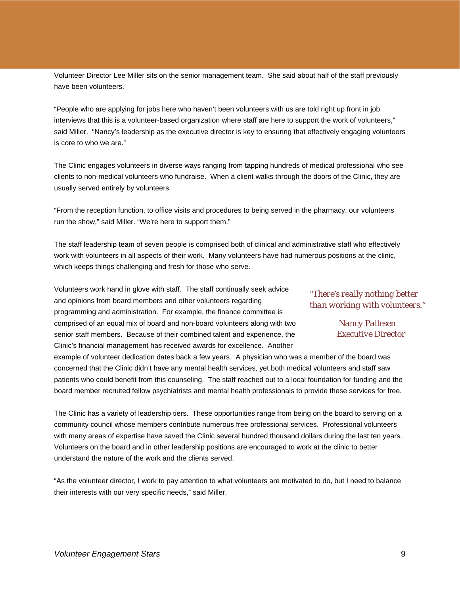Volunteer Director Lee Miller sits on the senior management team. She said about half of the staff previously have been volunteers.

"People who are applying for jobs here who haven't been volunteers with us are told right up front in job interviews that this is a volunteer-based organization where staff are here to support the work of volunteers," said Miller. "Nancy's leadership as the executive director is key to ensuring that effectively engaging volunteers is core to who we are."

The Clinic engages volunteers in diverse ways ranging from tapping hundreds of medical professional who see clients to non-medical volunteers who fundraise. When a client walks through the doors of the Clinic, they are usually served entirely by volunteers.

"From the reception function, to office visits and procedures to being served in the pharmacy, our volunteers run the show," said Miller. "We're here to support them."

The staff leadership team of seven people is comprised both of clinical and administrative staff who effectively work with volunteers in all aspects of their work. Many volunteers have had numerous positions at the clinic, which keeps things challenging and fresh for those who serve.

Volunteers work hand in glove with staff. The staff continually seek advice and opinions from board members and other volunteers regarding programming and administration. For example, the finance committee is comprised of an equal mix of board and non-board volunteers along with two senior staff members. Because of their combined talent and experience, the Clinic's financial management has received awards for excellence. Another

*"There's really nothing better than working with volunteers."* 

> *Nancy Pallesen Executive Director*

example of volunteer dedication dates back a few years. A physician who was a member of the board was concerned that the Clinic didn't have any mental health services, yet both medical volunteers and staff saw patients who could benefit from this counseling. The staff reached out to a local foundation for funding and the board member recruited fellow psychiatrists and mental health professionals to provide these services for free.

The Clinic has a variety of leadership tiers. These opportunities range from being on the board to serving on a community council whose members contribute numerous free professional services. Professional volunteers with many areas of expertise have saved the Clinic several hundred thousand dollars during the last ten years. Volunteers on the board and in other leadership positions are encouraged to work at the clinic to better understand the nature of the work and the clients served.

"As the volunteer director, I work to pay attention to what volunteers are motivated to do, but I need to balance their interests with our very specific needs," said Miller.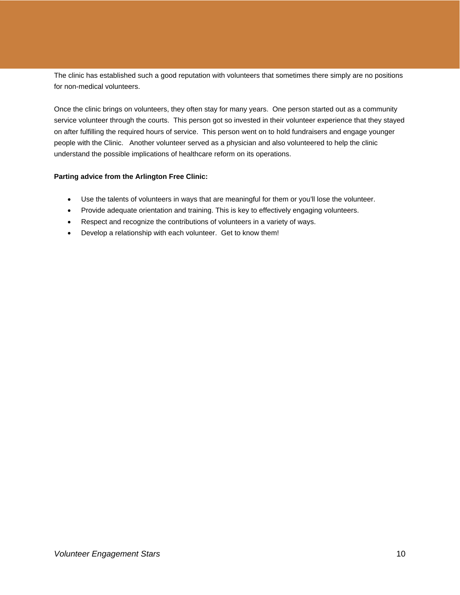The clinic has established such a good reputation with volunteers that sometimes there simply are no positions for non-medical volunteers.

Once the clinic brings on volunteers, they often stay for many years. One person started out as a community service volunteer through the courts. This person got so invested in their volunteer experience that they stayed on after fulfilling the required hours of service. This person went on to hold fundraisers and engage younger people with the Clinic. Another volunteer served as a physician and also volunteered to help the clinic understand the possible implications of healthcare reform on its operations.

## **Parting advice from the Arlington Free Clinic:**

- Use the talents of volunteers in ways that are meaningful for them or you'll lose the volunteer.
- Provide adequate orientation and training. This is key to effectively engaging volunteers.
- Respect and recognize the contributions of volunteers in a variety of ways.
- Develop a relationship with each volunteer. Get to know them!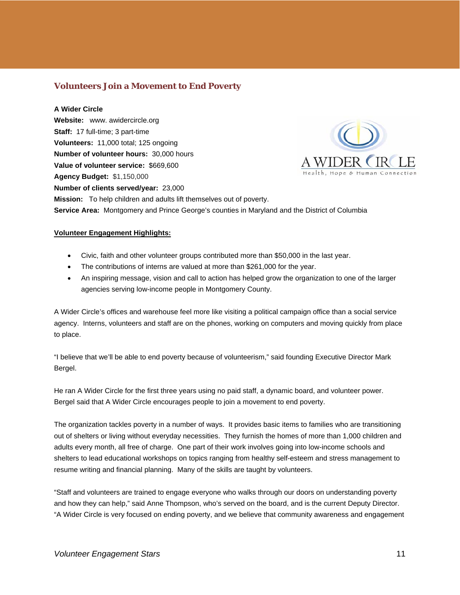## **Volunteers Join a Movement to End Poverty**

#### **A Wider Circle**

**Website:** www. awidercircle.org **Staff:** 17 full-time; 3 part-time **Volunteers:** 11,000 total; 125 ongoing **Number of volunteer hours:** 30,000 hours **Value of volunteer service:** \$669,600 **Agency Budget:** \$1,150,000 **Number of clients served/year:** 23,000 **Mission:** To help children and adults lift themselves out of poverty. **Service Area:** Montgomery and Prince George's counties in Maryland and the District of Columbia

## **Volunteer Engagement Highlights:**

- Civic, faith and other volunteer groups contributed more than \$50,000 in the last year.
- The contributions of interns are valued at more than \$261,000 for the year.
- An inspiring message, vision and call to action has helped grow the organization to one of the larger agencies serving low-income people in Montgomery County.

A Wider Circle's offices and warehouse feel more like visiting a political campaign office than a social service agency. Interns, volunteers and staff are on the phones, working on computers and moving quickly from place to place.

"I believe that we'll be able to end poverty because of volunteerism," said founding Executive Director Mark Bergel.

He ran A Wider Circle for the first three years using no paid staff, a dynamic board, and volunteer power. Bergel said that A Wider Circle encourages people to join a movement to end poverty.

The organization tackles poverty in a number of ways. It provides basic items to families who are transitioning out of shelters or living without everyday necessities. They furnish the homes of more than 1,000 children and adults every month, all free of charge. One part of their work involves going into low-income schools and shelters to lead educational workshops on topics ranging from healthy self-esteem and stress management to resume writing and financial planning. Many of the skills are taught by volunteers.

"Staff and volunteers are trained to engage everyone who walks through our doors on understanding poverty and how they can help," said Anne Thompson, who's served on the board, and is the current Deputy Director. "A Wider Circle is very focused on ending poverty, and we believe that community awareness and engagement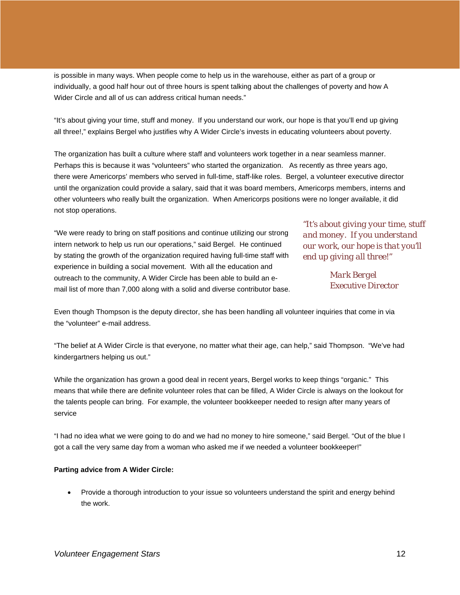is possible in many ways. When people come to help us in the warehouse, either as part of a group or individually, a good half hour out of three hours is spent talking about the challenges of poverty and how A Wider Circle and all of us can address critical human needs."

"It's about giving your time, stuff and money. If you understand our work, our hope is that you'll end up giving all three!," explains Bergel who justifies why A Wider Circle's invests in educating volunteers about poverty.

The organization has built a culture where staff and volunteers work together in a near seamless manner. Perhaps this is because it was "volunteers" who started the organization. As recently as three years ago, there were Americorps' members who served in full-time, staff-like roles. Bergel, a volunteer executive director until the organization could provide a salary, said that it was board members, Americorps members, interns and other volunteers who really built the organization. When Americorps positions were no longer available, it did not stop operations.

"We were ready to bring on staff positions and continue utilizing our strong intern network to help us run our operations," said Bergel. He continued by stating the growth of the organization required having full-time staff with experience in building a social movement. With all the education and outreach to the community, A Wider Circle has been able to build an email list of more than 7,000 along with a solid and diverse contributor base.

*"It's about giving your time, stuff and money. If you understand our work, our hope is that you'll end up giving all three!"* 

> *Mark Bergel Executive Director*

Even though Thompson is the deputy director, she has been handling all volunteer inquiries that come in via the "volunteer" e-mail address.

"The belief at A Wider Circle is that everyone, no matter what their age, can help," said Thompson. "We've had kindergartners helping us out."

While the organization has grown a good deal in recent years, Bergel works to keep things "organic." This means that while there are definite volunteer roles that can be filled, A Wider Circle is always on the lookout for the talents people can bring. For example, the volunteer bookkeeper needed to resign after many years of service

"I had no idea what we were going to do and we had no money to hire someone," said Bergel. "Out of the blue I got a call the very same day from a woman who asked me if we needed a volunteer bookkeeper!"

## **Parting advice from A Wider Circle:**

• Provide a thorough introduction to your issue so volunteers understand the spirit and energy behind the work.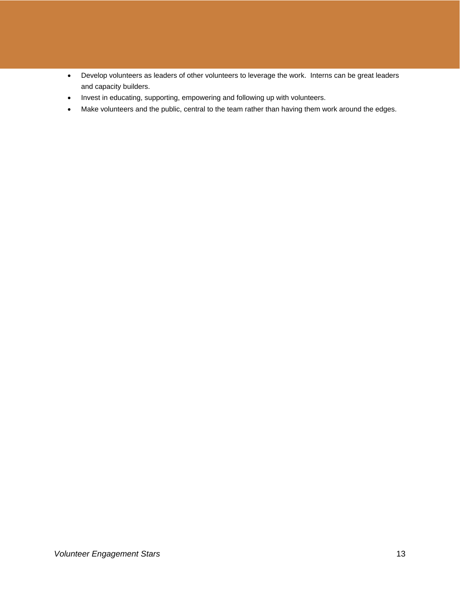- Develop volunteers as leaders of other volunteers to leverage the work. Interns can be great leaders and capacity builders.
- Invest in educating, supporting, empowering and following up with volunteers.
- Make volunteers and the public, central to the team rather than having them work around the edges.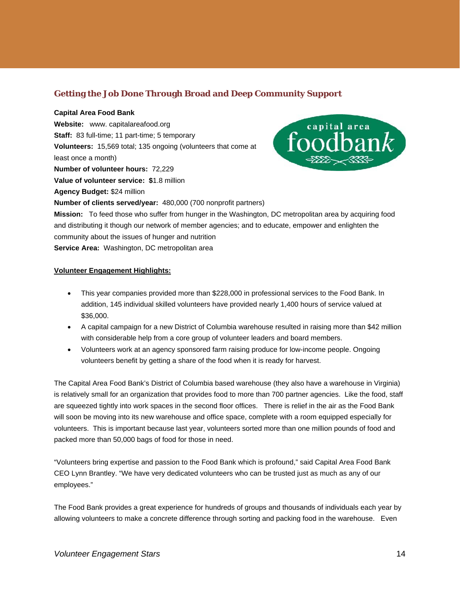## **Getting the Job Done Through Broad and Deep Community Support**

## **Capital Area Food Bank**

**Website:** www. capitalareafood.org **Staff:** 83 full-time; 11 part-time; 5 temporary **Volunteers:** 15,569 total; 135 ongoing (volunteers that come at least once a month) **Number of volunteer hours:** 72,229 **Value of volunteer service: \$**1.8 million **Agency Budget:** \$24 million **Number of clients served/year:** 480,000 (700 nonprofit partners)



**Mission:** To feed those who suffer from hunger in the Washington, DC metropolitan area by acquiring food and distributing it though our network of member agencies; and to educate, empower and enlighten the community about the issues of hunger and nutrition **Service Area:** Washington, DC metropolitan area

## **Volunteer Engagement Highlights:**

- This year companies provided more than \$228,000 in professional services to the Food Bank. In addition, 145 individual skilled volunteers have provided nearly 1,400 hours of service valued at \$36,000.
- A capital campaign for a new District of Columbia warehouse resulted in raising more than \$42 million with considerable help from a core group of volunteer leaders and board members.
- Volunteers work at an agency sponsored farm raising produce for low-income people. Ongoing volunteers benefit by getting a share of the food when it is ready for harvest.

The Capital Area Food Bank's District of Columbia based warehouse (they also have a warehouse in Virginia) is relatively small for an organization that provides food to more than 700 partner agencies. Like the food, staff are squeezed tightly into work spaces in the second floor offices. There is relief in the air as the Food Bank will soon be moving into its new warehouse and office space, complete with a room equipped especially for volunteers. This is important because last year, volunteers sorted more than one million pounds of food and packed more than 50,000 bags of food for those in need.

"Volunteers bring expertise and passion to the Food Bank which is profound," said Capital Area Food Bank CEO Lynn Brantley. "We have very dedicated volunteers who can be trusted just as much as any of our employees."

The Food Bank provides a great experience for hundreds of groups and thousands of individuals each year by allowing volunteers to make a concrete difference through sorting and packing food in the warehouse. Even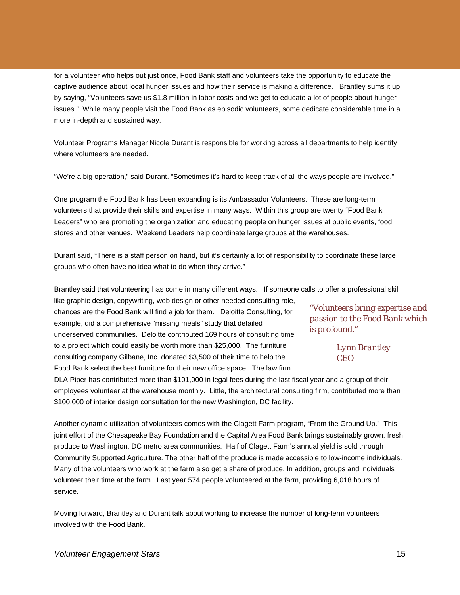for a volunteer who helps out just once, Food Bank staff and volunteers take the opportunity to educate the captive audience about local hunger issues and how their service is making a difference. Brantley sums it up by saying, "Volunteers save us \$1.8 million in labor costs and we get to educate a lot of people about hunger issues." While many people visit the Food Bank as episodic volunteers, some dedicate considerable time in a more in-depth and sustained way.

Volunteer Programs Manager Nicole Durant is responsible for working across all departments to help identify where volunteers are needed.

"We're a big operation," said Durant. "Sometimes it's hard to keep track of all the ways people are involved."

One program the Food Bank has been expanding is its Ambassador Volunteers. These are long-term volunteers that provide their skills and expertise in many ways. Within this group are twenty "Food Bank Leaders" who are promoting the organization and educating people on hunger issues at public events, food stores and other venues. Weekend Leaders help coordinate large groups at the warehouses.

Durant said, "There is a staff person on hand, but it's certainly a lot of responsibility to coordinate these large groups who often have no idea what to do when they arrive."

Brantley said that volunteering has come in many different ways. If someone calls to offer a professional skill

like graphic design, copywriting, web design or other needed consulting role, chances are the Food Bank will find a job for them. Deloitte Consulting, for example, did a comprehensive "missing meals" study that detailed underserved communities. Deloitte contributed 169 hours of consulting time to a project which could easily be worth more than \$25,000. The furniture consulting company Gilbane, Inc. donated \$3,500 of their time to help the Food Bank select the best furniture for their new office space. The law firm

*"Volunteers bring expertise and passion to the Food Bank which is profound."* 

> *Lynn Brantley CEO*

DLA Piper has contributed more than \$101,000 in legal fees during the last fiscal year and a group of their employees volunteer at the warehouse monthly. Little, the architectural consulting firm, contributed more than \$100,000 of interior design consultation for the new Washington, DC facility.

Another dynamic utilization of volunteers comes with the Clagett Farm program, "From the Ground Up." This joint effort of the Chesapeake Bay Foundation and the Capital Area Food Bank brings sustainably grown, fresh produce to Washington, DC metro area communities. Half of Clagett Farm's annual yield is sold through Community Supported Agriculture. The other half of the produce is made accessible to low-income individuals. Many of the volunteers who work at the farm also get a share of produce. In addition, groups and individuals volunteer their time at the farm. Last year 574 people volunteered at the farm, providing 6,018 hours of service.

Moving forward, Brantley and Durant talk about working to increase the number of long-term volunteers involved with the Food Bank.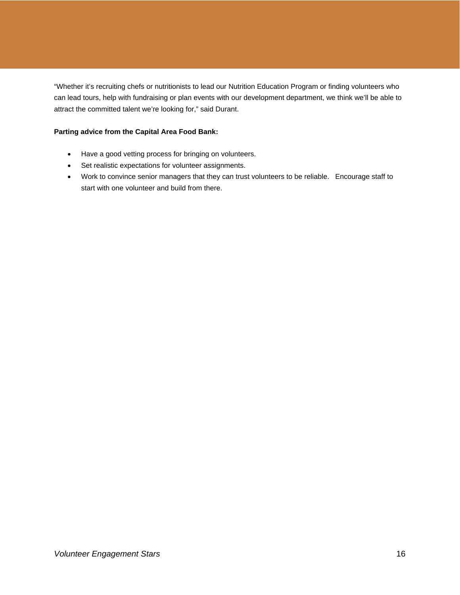"Whether it's recruiting chefs or nutritionists to lead our Nutrition Education Program or finding volunteers who can lead tours, help with fundraising or plan events with our development department, we think we'll be able to attract the committed talent we're looking for," said Durant.

## **Parting advice from the Capital Area Food Bank:**

- Have a good vetting process for bringing on volunteers.
- Set realistic expectations for volunteer assignments.
- Work to convince senior managers that they can trust volunteers to be reliable. Encourage staff to start with one volunteer and build from there.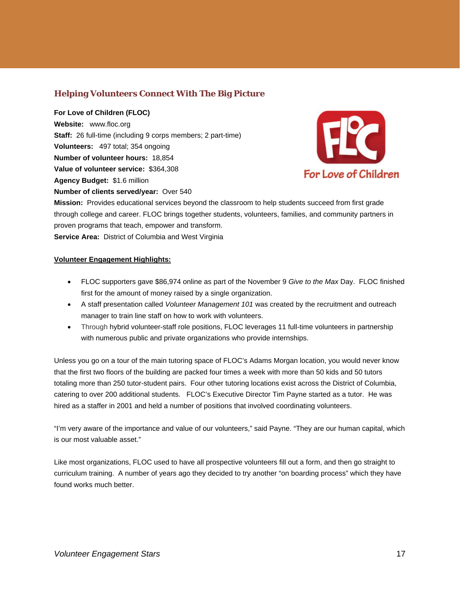## **Helping Volunteers Connect With The Big Picture**

**For Love of Children (FLOC) Website:** www.floc.org **Staff:** 26 full-time (including 9 corps members; 2 part-time) **Volunteers:** 497 total; 354 ongoing **Number of volunteer hours:** 18,854 **Value of volunteer service:** \$364,308 **Agency Budget:** \$1.6 million **Number of clients served/year:** Over 540



**Mission:** Provides educational services beyond the classroom to help students succeed from first grade through college and career. FLOC brings together students, volunteers, families, and community partners in proven programs that teach, empower and transform. **Service Area:** District of Columbia and West Virginia

**Volunteer Engagement Highlights:**

- FLOC supporters gave \$86,974 online as part of the November 9 *Give to the Max* Day. FLOC finished first for the amount of money raised by a single organization.
- A staff presentation called *Volunteer Management 101* was created by the recruitment and outreach manager to train line staff on how to work with volunteers.
- Through hybrid volunteer-staff role positions, FLOC leverages 11 full-time volunteers in partnership with numerous public and private organizations who provide internships.

Unless you go on a tour of the main tutoring space of FLOC's Adams Morgan location, you would never know that the first two floors of the building are packed four times a week with more than 50 kids and 50 tutors totaling more than 250 tutor-student pairs. Four other tutoring locations exist across the District of Columbia, catering to over 200 additional students. FLOC's Executive Director Tim Payne started as a tutor. He was hired as a staffer in 2001 and held a number of positions that involved coordinating volunteers.

"I'm very aware of the importance and value of our volunteers," said Payne. "They are our human capital, which is our most valuable asset."

Like most organizations, FLOC used to have all prospective volunteers fill out a form, and then go straight to curriculum training. A number of years ago they decided to try another "on boarding process" which they have found works much better.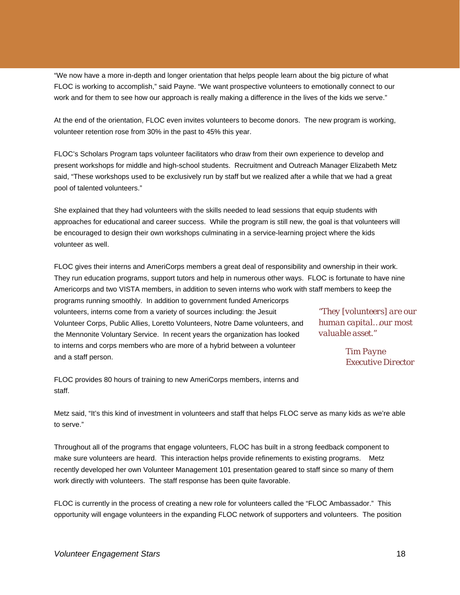"We now have a more in-depth and longer orientation that helps people learn about the big picture of what FLOC is working to accomplish," said Payne. "We want prospective volunteers to emotionally connect to our work and for them to see how our approach is really making a difference in the lives of the kids we serve."

At the end of the orientation, FLOC even invites volunteers to become donors. The new program is working, volunteer retention rose from 30% in the past to 45% this year.

FLOC's Scholars Program taps volunteer facilitators who draw from their own experience to develop and present workshops for middle and high-school students. Recruitment and Outreach Manager Elizabeth Metz said, "These workshops used to be exclusively run by staff but we realized after a while that we had a great pool of talented volunteers."

She explained that they had volunteers with the skills needed to lead sessions that equip students with approaches for educational and career success. While the program is still new, the goal is that volunteers will be encouraged to design their own workshops culminating in a service-learning project where the kids volunteer as well.

FLOC gives their interns and AmeriCorps members a great deal of responsibility and ownership in their work. They run education programs, support tutors and help in numerous other ways. FLOC is fortunate to have nine Americorps and two VISTA members, in addition to seven interns who work with staff members to keep the programs running smoothly. In addition to government funded Americorps volunteers, interns come from a variety of sources including: the Jesuit Volunteer Corps, Public Allies, Loretto Volunteers, Notre Dame volunteers, and the Mennonite Voluntary Service. In recent years the organization has looked to interns and corps members who are more of a hybrid between a volunteer and a staff person. *"They [volunteers] are our human capital…our most valuable asset." Tim Payne Executive Director* 

FLOC provides 80 hours of training to new AmeriCorps members, interns and staff.

Metz said, "It's this kind of investment in volunteers and staff that helps FLOC serve as many kids as we're able to serve."

Throughout all of the programs that engage volunteers, FLOC has built in a strong feedback component to make sure volunteers are heard. This interaction helps provide refinements to existing programs. Metz recently developed her own Volunteer Management 101 presentation geared to staff since so many of them work directly with volunteers. The staff response has been quite favorable.

FLOC is currently in the process of creating a new role for volunteers called the "FLOC Ambassador." This opportunity will engage volunteers in the expanding FLOC network of supporters and volunteers. The position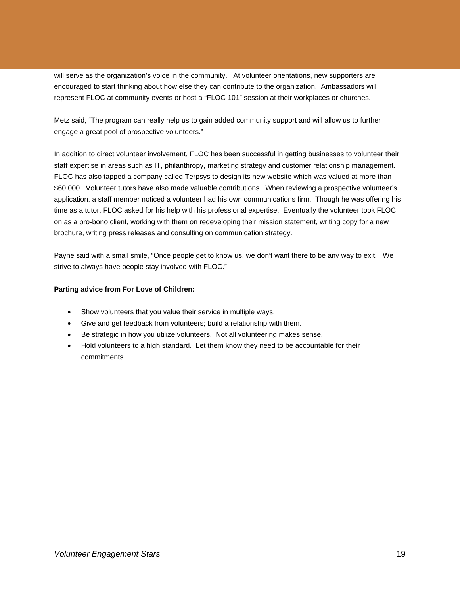will serve as the organization's voice in the community. At volunteer orientations, new supporters are encouraged to start thinking about how else they can contribute to the organization. Ambassadors will represent FLOC at community events or host a "FLOC 101" session at their workplaces or churches.

Metz said, "The program can really help us to gain added community support and will allow us to further engage a great pool of prospective volunteers."

In addition to direct volunteer involvement, FLOC has been successful in getting businesses to volunteer their staff expertise in areas such as IT, philanthropy, marketing strategy and customer relationship management. FLOC has also tapped a company called Terpsys to design its new website which was valued at more than \$60,000. Volunteer tutors have also made valuable contributions. When reviewing a prospective volunteer's application, a staff member noticed a volunteer had his own communications firm. Though he was offering his time as a tutor, FLOC asked for his help with his professional expertise. Eventually the volunteer took FLOC on as a pro-bono client, working with them on redeveloping their mission statement, writing copy for a new brochure, writing press releases and consulting on communication strategy.

Payne said with a small smile, "Once people get to know us, we don't want there to be any way to exit. We strive to always have people stay involved with FLOC."

## **Parting advice from For Love of Children:**

- Show volunteers that you value their service in multiple ways.
- Give and get feedback from volunteers; build a relationship with them.
- Be strategic in how you utilize volunteers. Not all volunteering makes sense.
- Hold volunteers to a high standard. Let them know they need to be accountable for their commitments.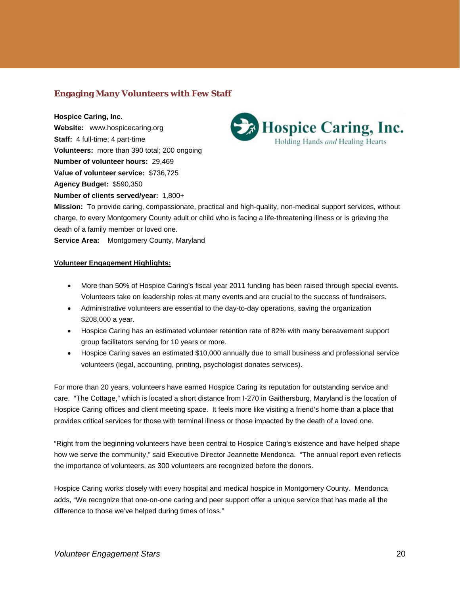## **Engaging Many Volunteers with Few Staff**

**Hospice Caring, Inc. Website:** www.hospicecaring.org **Staff:** 4 full-time; 4 part-time **Volunteers:** more than 390 total; 200 ongoing **Number of volunteer hours:** 29,469 **Value of volunteer service:** \$736,725 **Agency Budget:** \$590,350 **Number of clients served/year:** 1,800+



**Mission:** To provide caring, compassionate, practical and high-quality, non-medical support services, without charge, to every Montgomery County adult or child who is facing a life-threatening illness or is grieving the death of a family member or loved one.

**Service Area:** Montgomery County, Maryland

## **Volunteer Engagement Highlights:**

- More than 50% of Hospice Caring's fiscal year 2011 funding has been raised through special events. Volunteers take on leadership roles at many events and are crucial to the success of fundraisers.
- Administrative volunteers are essential to the day-to-day operations, saving the organization \$208,000 a year.
- Hospice Caring has an estimated volunteer retention rate of 82% with many bereavement support group facilitators serving for 10 years or more.
- Hospice Caring saves an estimated \$10,000 annually due to small business and professional service volunteers (legal, accounting, printing, psychologist donates services).

For more than 20 years, volunteers have earned Hospice Caring its reputation for outstanding service and care. "The Cottage," which is located a short distance from I-270 in Gaithersburg, Maryland is the location of Hospice Caring offices and client meeting space. It feels more like visiting a friend's home than a place that provides critical services for those with terminal illness or those impacted by the death of a loved one.

"Right from the beginning volunteers have been central to Hospice Caring's existence and have helped shape how we serve the community," said Executive Director Jeannette Mendonca. "The annual report even reflects the importance of volunteers, as 300 volunteers are recognized before the donors.

Hospice Caring works closely with every hospital and medical hospice in Montgomery County. Mendonca adds, "We recognize that one-on-one caring and peer support offer a unique service that has made all the difference to those we've helped during times of loss."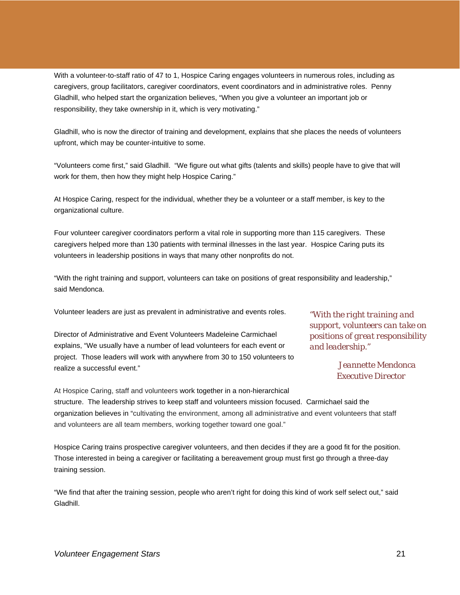With a volunteer-to-staff ratio of 47 to 1, Hospice Caring engages volunteers in numerous roles, including as caregivers, group facilitators, caregiver coordinators, event coordinators and in administrative roles. Penny Gladhill, who helped start the organization believes, "When you give a volunteer an important job or responsibility, they take ownership in it, which is very motivating."

Gladhill, who is now the director of training and development, explains that she places the needs of volunteers upfront, which may be counter-intuitive to some.

"Volunteers come first," said Gladhill. "We figure out what gifts (talents and skills) people have to give that will work for them, then how they might help Hospice Caring."

At Hospice Caring, respect for the individual, whether they be a volunteer or a staff member, is key to the organizational culture.

Four volunteer caregiver coordinators perform a vital role in supporting more than 115 caregivers. These caregivers helped more than 130 patients with terminal illnesses in the last year. Hospice Caring puts its volunteers in leadership positions in ways that many other nonprofits do not.

"With the right training and support, volunteers can take on positions of great responsibility and leadership," said Mendonca.

Volunteer leaders are just as prevalent in administrative and events roles.

Director of Administrative and Event Volunteers Madeleine Carmichael explains, "We usually have a number of lead volunteers for each event or project. Those leaders will work with anywhere from 30 to 150 volunteers to realize a successful event."

*"With the right training and support, volunteers can take on positions of great responsibility and leadership."* 

> *Jeannette Mendonca Executive Director*

At Hospice Caring, staff and volunteers work together in a non-hierarchical structure. The leadership strives to keep staff and volunteers mission focused. Carmichael said the organization believes in "cultivating the environment, among all administrative and event volunteers that staff and volunteers are all team members, working together toward one goal."

Hospice Caring trains prospective caregiver volunteers, and then decides if they are a good fit for the position. Those interested in being a caregiver or facilitating a bereavement group must first go through a three-day training session.

"We find that after the training session, people who aren't right for doing this kind of work self select out," said Gladhill.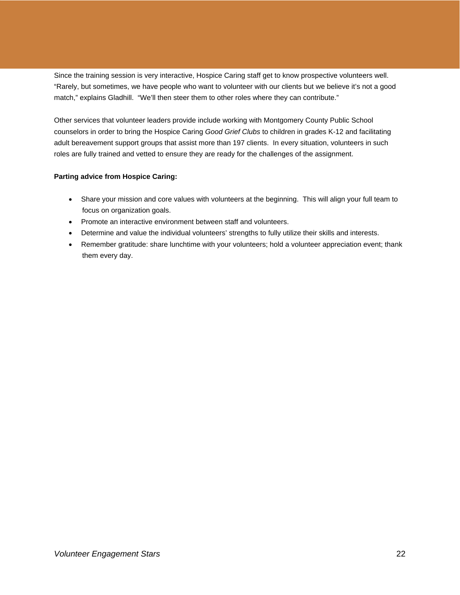Since the training session is very interactive, Hospice Caring staff get to know prospective volunteers well. "Rarely, but sometimes, we have people who want to volunteer with our clients but we believe it's not a good match," explains Gladhill. "We'll then steer them to other roles where they can contribute."

Other services that volunteer leaders provide include working with Montgomery County Public School counselors in order to bring the Hospice Caring *Good Grief Clubs* to children in grades K-12 and facilitating adult bereavement support groups that assist more than 197 clients. In every situation, volunteers in such roles are fully trained and vetted to ensure they are ready for the challenges of the assignment.

## **Parting advice from Hospice Caring:**

- Share your mission and core values with volunteers at the beginning. This will align your full team to focus on organization goals.
- Promote an interactive environment between staff and volunteers.
- Determine and value the individual volunteers' strengths to fully utilize their skills and interests.
- Remember gratitude: share lunchtime with your volunteers; hold a volunteer appreciation event; thank them every day.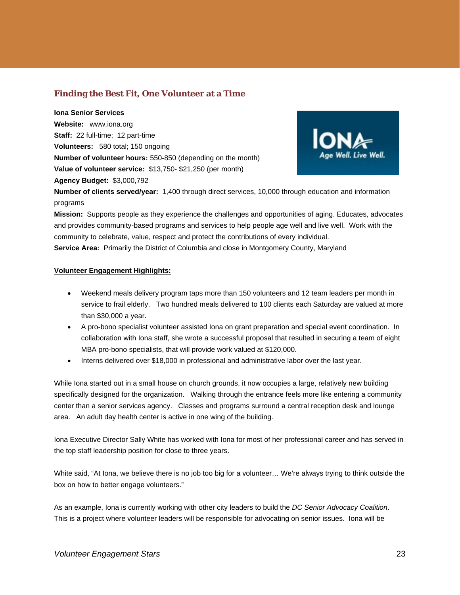## **Finding the Best Fit, One Volunteer at a Time**

**Iona Senior Services Website:** www.iona.org **Staff:** 22 full-time; 12 part-time **Volunteers:** 580 total; 150 ongoing **Number of volunteer hours:** 550-850 (depending on the month) **Value of volunteer service:** \$13,750- \$21,250 (per month) **Agency Budget:** \$3,000,792



**Number of clients served/year:** 1,400 through direct services, 10,000 through education and information programs

**Mission:** Supports people as they experience the challenges and opportunities of aging. Educates, advocates and provides community-based programs and services to help people age well and live well. Work with the community to celebrate, value, respect and protect the contributions of every individual. **Service Area:** Primarily the District of Columbia and close in Montgomery County, Maryland

## **Volunteer Engagement Highlights:**

- Weekend meals delivery program taps more than 150 volunteers and 12 team leaders per month in service to frail elderly. Two hundred meals delivered to 100 clients each Saturday are valued at more than \$30,000 a year.
- A pro-bono specialist volunteer assisted Iona on grant preparation and special event coordination. In collaboration with Iona staff, she wrote a successful proposal that resulted in securing a team of eight MBA pro-bono specialists, that will provide work valued at \$120,000.
- Interns delivered over \$18,000 in professional and administrative labor over the last year.

While Iona started out in a small house on church grounds, it now occupies a large, relatively new building specifically designed for the organization. Walking through the entrance feels more like entering a community center than a senior services agency. Classes and programs surround a central reception desk and lounge area. An adult day health center is active in one wing of the building.

Iona Executive Director Sally White has worked with Iona for most of her professional career and has served in the top staff leadership position for close to three years.

White said, "At Iona, we believe there is no job too big for a volunteer… We're always trying to think outside the box on how to better engage volunteers."

As an example, Iona is currently working with other city leaders to build the *DC Senior Advocacy Coalition*. This is a project where volunteer leaders will be responsible for advocating on senior issues. Iona will be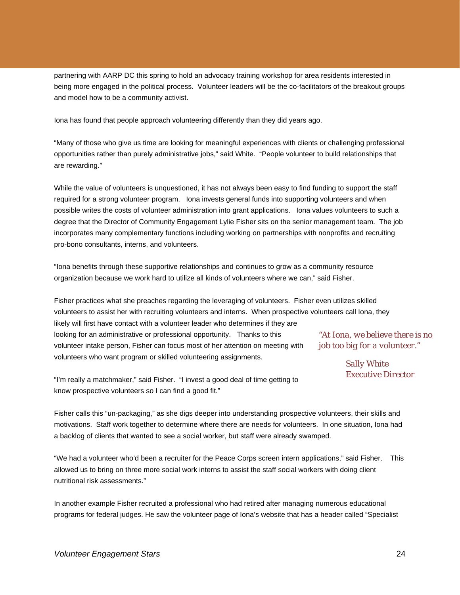partnering with AARP DC this spring to hold an advocacy training workshop for area residents interested in being more engaged in the political process. Volunteer leaders will be the co-facilitators of the breakout groups and model how to be a community activist.

Iona has found that people approach volunteering differently than they did years ago.

"Many of those who give us time are looking for meaningful experiences with clients or challenging professional opportunities rather than purely administrative jobs," said White. "People volunteer to build relationships that are rewarding."

While the value of volunteers is unquestioned, it has not always been easy to find funding to support the staff required for a strong volunteer program. Iona invests general funds into supporting volunteers and when possible writes the costs of volunteer administration into grant applications. Iona values volunteers to such a degree that the Director of Community Engagement Lylie Fisher sits on the senior management team. The job incorporates many complementary functions including working on partnerships with nonprofits and recruiting pro-bono consultants, interns, and volunteers.

"Iona benefits through these supportive relationships and continues to grow as a community resource organization because we work hard to utilize all kinds of volunteers where we can," said Fisher.

Fisher practices what she preaches regarding the leveraging of volunteers. Fisher even utilizes skilled volunteers to assist her with recruiting volunteers and interns. When prospective volunteers call Iona, they likely will first have contact with a volunteer leader who determines if they are looking for an administrative or professional opportunity. Thanks to this volunteer intake person, Fisher can focus most of her attention on meeting with volunteers who want program or skilled volunteering assignments. *"At Iona, we believe there is no job too big for a volunteer."* 

*Sally White Executive Director* 

"I'm really a matchmaker," said Fisher. "I invest a good deal of time getting to know prospective volunteers so I can find a good fit."

Fisher calls this "un-packaging," as she digs deeper into understanding prospective volunteers, their skills and motivations. Staff work together to determine where there are needs for volunteers. In one situation, Iona had a backlog of clients that wanted to see a social worker, but staff were already swamped.

"We had a volunteer who'd been a recruiter for the Peace Corps screen intern applications," said Fisher. This allowed us to bring on three more social work interns to assist the staff social workers with doing client nutritional risk assessments."

In another example Fisher recruited a professional who had retired after managing numerous educational programs for federal judges. He saw the volunteer page of Iona's website that has a header called "Specialist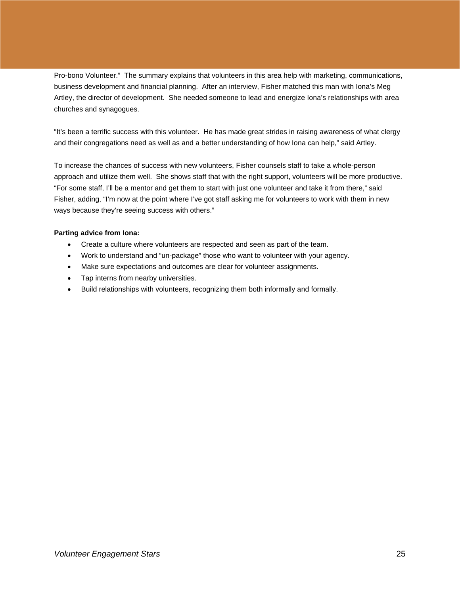Pro-bono Volunteer." The summary explains that volunteers in this area help with marketing, communications, business development and financial planning. After an interview, Fisher matched this man with Iona's Meg Artley, the director of development. She needed someone to lead and energize Iona's relationships with area churches and synagogues.

"It's been a terrific success with this volunteer. He has made great strides in raising awareness of what clergy and their congregations need as well as and a better understanding of how Iona can help," said Artley.

To increase the chances of success with new volunteers, Fisher counsels staff to take a whole-person approach and utilize them well. She shows staff that with the right support, volunteers will be more productive. "For some staff, I'll be a mentor and get them to start with just one volunteer and take it from there," said Fisher, adding, "I'm now at the point where I've got staff asking me for volunteers to work with them in new ways because they're seeing success with others."

## **Parting advice from Iona:**

- Create a culture where volunteers are respected and seen as part of the team.
- Work to understand and "un-package" those who want to volunteer with your agency.
- Make sure expectations and outcomes are clear for volunteer assignments.
- Tap interns from nearby universities.
- Build relationships with volunteers, recognizing them both informally and formally.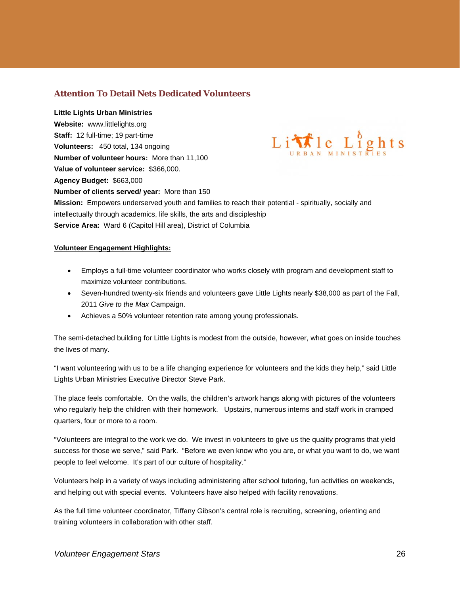## **Attention To Detail Nets Dedicated Volunteers**

**Little Lights Urban Ministries Website:** www.littlelights.org Little Lights **Staff:** 12 full-time; 19 part-time **Volunteers:** 450 total, 134 ongoing **Number of volunteer hours:** More than 11,100 **Value of volunteer service:** \$366,000. **Agency Budget:** \$663,000 **Number of clients served/ year:** More than 150 **Mission:** Empowers underserved youth and families to reach their potential - spiritually, socially and intellectually through academics, life skills, the arts and discipleship **Service Area:** Ward 6 (Capitol Hill area), District of Columbia

## **Volunteer Engagement Highlights:**

- Employs a full-time volunteer coordinator who works closely with program and development staff to maximize volunteer contributions.
- Seven-hundred twenty-six friends and volunteers gave Little Lights nearly \$38,000 as part of the Fall, 2011 *Give to the Max* Campaign.
- Achieves a 50% volunteer retention rate among young professionals.

The semi-detached building for Little Lights is modest from the outside, however, what goes on inside touches the lives of many.

"I want volunteering with us to be a life changing experience for volunteers and the kids they help," said Little Lights Urban Ministries Executive Director Steve Park.

The place feels comfortable. On the walls, the children's artwork hangs along with pictures of the volunteers who regularly help the children with their homework. Upstairs, numerous interns and staff work in cramped quarters, four or more to a room.

"Volunteers are integral to the work we do. We invest in volunteers to give us the quality programs that yield success for those we serve," said Park. "Before we even know who you are, or what you want to do, we want people to feel welcome. It's part of our culture of hospitality."

Volunteers help in a variety of ways including administering after school tutoring, fun activities on weekends, and helping out with special events. Volunteers have also helped with facility renovations.

As the full time volunteer coordinator, Tiffany Gibson's central role is recruiting, screening, orienting and training volunteers in collaboration with other staff.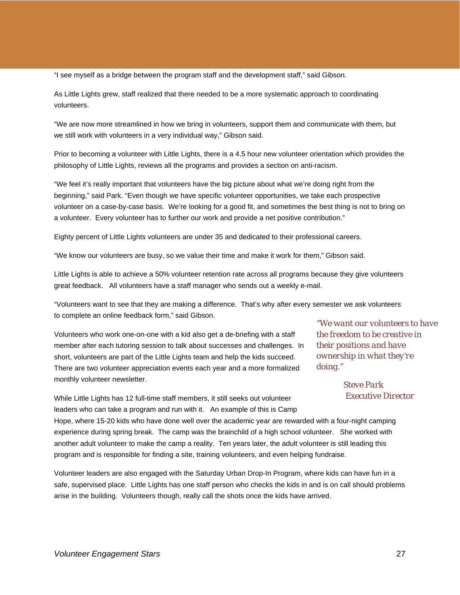"I see myself as a bridge between the program staff and the development staff," said Gibson.

As Little Lights grew, staff realized that there needed to be a more systematic approach to coordinating volunteers.

"We are now more streamlined in how we bring in volunteers, support them and communicate with them, but we still work with volunteers in a very individual way," Gibson said.

Prior to becoming a volunteer with Little Lights, there is a 4.5 hour new volunteer orientation which provides the philosophy of Little Lights, reviews all the programs and provides a section on anti-racism.

"We feel it's really important that volunteers have the big picture about what we're doing right from the beginning," said Park. "Even though we have specific volunteer opportunities, we take each prospective volunteer on a case-by-case basis. We're looking for a good fit, and sometimes the best thing is not to bring on a volunteer. Every volunteer has to further our work and provide a net positive contribution."

Eighty percent of Little Lights volunteers are under 35 and dedicated to their professional careers.

"We know our volunteers are busy, so we value their time and make it work for them," Gibson said.

Little Lights is able to achieve a 50% volunteer retention rate across all programs because they give volunteers great feedback. All volunteers have a staff manager who sends out a weekly e-mail.

"Volunteers want to see that they are making a difference. That's why after every semester we ask volunteers to complete an online feedback form," said Gibson.

Volunteers who work one-on-one with a kid also get a de-briefing with a staff member after each tutoring session to talk about successes and challenges. In short, volunteers are part of the Little Lights team and help the kids succeed. There are two volunteer appreciation events each year and a more formalized monthly volunteer newsletter.

*"We want our volunteers to have the freedom to be creative in their positions and have ownership in what they're doing."* 

> *Steve Park Executive Director*

While Little Lights has 12 full-time staff members, it still seeks out volunteer leaders who can take a program and run with it. An example of this is Camp

Hope, where 15-20 kids who have done well over the academic year are rewarded with a four-night camping experience during spring break. The camp was the brainchild of a high school volunteer. She worked with another adult volunteer to make the camp a reality. Ten years later, the adult volunteer is still leading this program and is responsible for finding a site, training volunteers, and even helping fundraise.

Volunteer leaders are also engaged with the Saturday Urban Drop-In Program, where kids can have fun in a safe, supervised place. Little Lights has one staff person who checks the kids in and is on call should problems arise in the building. Volunteers though, really call the shots once the kids have arrived.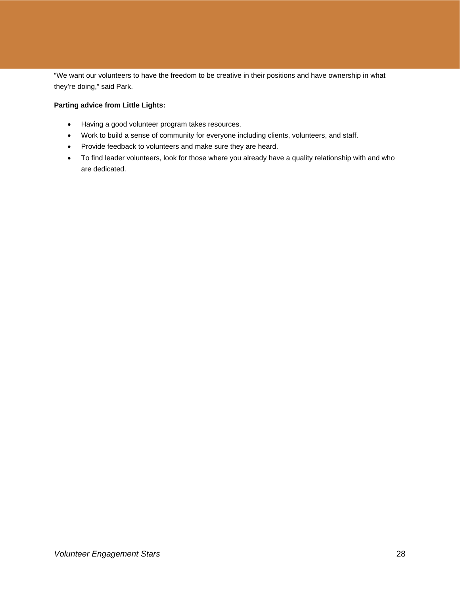"We want our volunteers to have the freedom to be creative in their positions and have ownership in what they're doing," said Park.

## **Parting advice from Little Lights:**

- Having a good volunteer program takes resources.
- Work to build a sense of community for everyone including clients, volunteers, and staff.
- Provide feedback to volunteers and make sure they are heard.
- To find leader volunteers, look for those where you already have a quality relationship with and who are dedicated.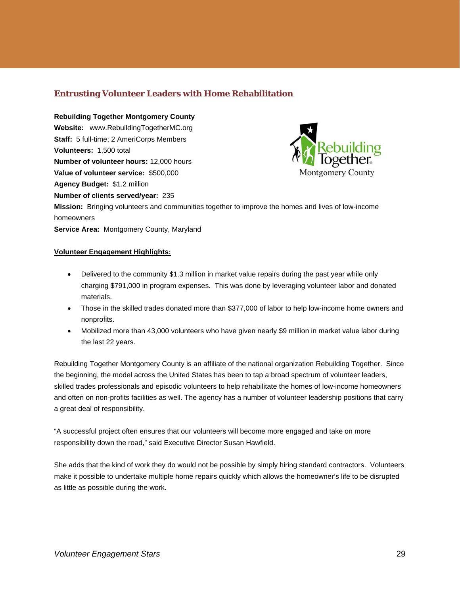## **Entrusting Volunteer Leaders with Home Rehabilitation**

**Rebuilding Together Montgomery County Website:** www.RebuildingTogetherMC.org **Staff:** 5 full-time; 2 AmeriCorps Members **Volunteers:** 1,500 total **Number of volunteer hours:** 12,000 hours **Value of volunteer service:** \$500,000 **Agency Budget:** \$1.2 million **Number of clients served/year:** 235 **Mission:** Bringing volunteers and communities together to improve the homes and lives of low-income homeowners



**Service Area:** Montgomery County, Maryland

## **Volunteer Engagement Highlights:**

- Delivered to the community \$1.3 million in market value repairs during the past year while only charging \$791,000 in program expenses. This was done by leveraging volunteer labor and donated materials.
- Those in the skilled trades donated more than \$377,000 of labor to help low-income home owners and nonprofits.
- Mobilized more than 43,000 volunteers who have given nearly \$9 million in market value labor during the last 22 years.

Rebuilding Together Montgomery County is an affiliate of the national organization Rebuilding Together. Since the beginning, the model across the United States has been to tap a broad spectrum of volunteer leaders, skilled trades professionals and episodic volunteers to help rehabilitate the homes of low-income homeowners and often on non-profits facilities as well. The agency has a number of volunteer leadership positions that carry a great deal of responsibility.

"A successful project often ensures that our volunteers will become more engaged and take on more responsibility down the road," said Executive Director Susan Hawfield.

She adds that the kind of work they do would not be possible by simply hiring standard contractors. Volunteers make it possible to undertake multiple home repairs quickly which allows the homeowner's life to be disrupted as little as possible during the work.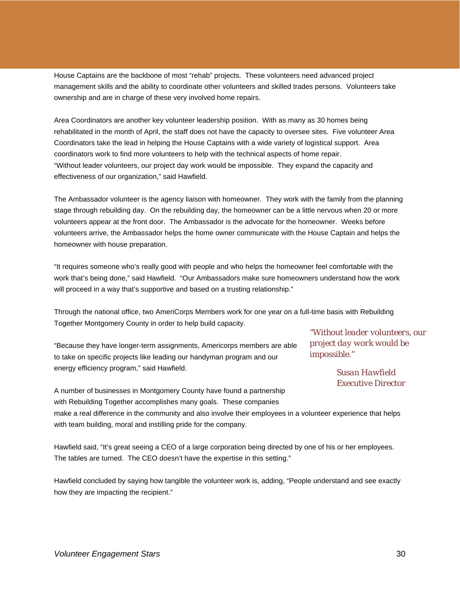House Captains are the backbone of most "rehab" projects. These volunteers need advanced project management skills and the ability to coordinate other volunteers and skilled trades persons. Volunteers take ownership and are in charge of these very involved home repairs.

Area Coordinators are another key volunteer leadership position. With as many as 30 homes being rehabilitated in the month of April, the staff does not have the capacity to oversee sites. Five volunteer Area Coordinators take the lead in helping the House Captains with a wide variety of logistical support. Area coordinators work to find more volunteers to help with the technical aspects of home repair. "Without leader volunteers, our project day work would be impossible. They expand the capacity and effectiveness of our organization," said Hawfield.

The Ambassador volunteer is the agency liaison with homeowner. They work with the family from the planning stage through rebuilding day. On the rebuilding day, the homeowner can be a little nervous when 20 or more volunteers appear at the front door. The Ambassador is the advocate for the homeowner. Weeks before volunteers arrive, the Ambassador helps the home owner communicate with the House Captain and helps the homeowner with house preparation.

"It requires someone who's really good with people and who helps the homeowner feel comfortable with the work that's being done," said Hawfield. "Our Ambassadors make sure homeowners understand how the work will proceed in a way that's supportive and based on a trusting relationship."

Through the national office, two AmeriCorps Members work for one year on a full-time basis with Rebuilding Together Montgomery County in order to help build capacity.

"Because they have longer-term assignments, Americorps members are able to take on specific projects like leading our handyman program and our energy efficiency program," said Hawfield.

*"Without leader volunteers, our project day work would be impossible."* 

> *Susan Hawfield Executive Director*

A number of businesses in Montgomery County have found a partnership with Rebuilding Together accomplishes many goals. These companies make a real difference in the community and also involve their employees in a volunteer experience that helps

with team building, moral and instilling pride for the company.

Hawfield said, "It's great seeing a CEO of a large corporation being directed by one of his or her employees. The tables are turned. The CEO doesn't have the expertise in this setting."

Hawfield concluded by saying how tangible the volunteer work is, adding, "People understand and see exactly how they are impacting the recipient."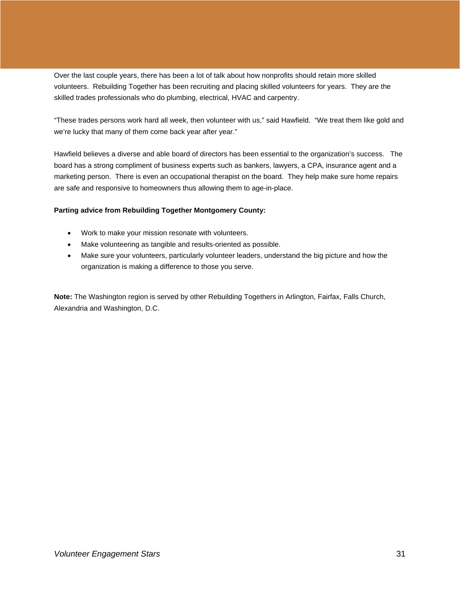Over the last couple years, there has been a lot of talk about how nonprofits should retain more skilled volunteers. Rebuilding Together has been recruiting and placing skilled volunteers for years. They are the skilled trades professionals who do plumbing, electrical, HVAC and carpentry.

"These trades persons work hard all week, then volunteer with us," said Hawfield. "We treat them like gold and we're lucky that many of them come back year after year."

Hawfield believes a diverse and able board of directors has been essential to the organization's success. The board has a strong compliment of business experts such as bankers, lawyers, a CPA, insurance agent and a marketing person. There is even an occupational therapist on the board. They help make sure home repairs are safe and responsive to homeowners thus allowing them to age-in-place.

## **Parting advice from Rebuilding Together Montgomery County:**

- Work to make your mission resonate with volunteers.
- Make volunteering as tangible and results-oriented as possible.
- Make sure your volunteers, particularly volunteer leaders, understand the big picture and how the organization is making a difference to those you serve.

**Note:** The Washington region is served by other Rebuilding Togethers in Arlington, Fairfax, Falls Church, Alexandria and Washington, D.C.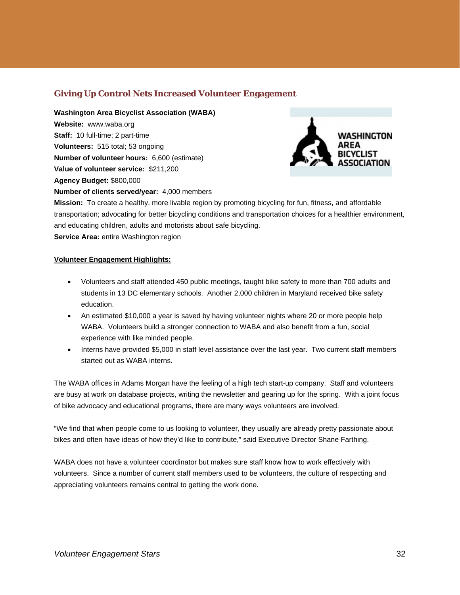## **Giving Up Control Nets Increased Volunteer Engagement**

**Washington Area Bicyclist Association (WABA) Website:** www.waba.org **Staff:** 10 full-time; 2 part-time **Volunteers:** 515 total; 53 ongoing **Number of volunteer hours:** 6,600 (estimate) **Value of volunteer service:** \$211,200 **Agency Budget:** \$800,000 **Number of clients served/year:** 4,000 members



**Mission:** To create a healthy, more livable region by promoting bicycling for fun, fitness, and affordable transportation; advocating for better bicycling conditions and transportation choices for a healthier environment, and educating children, adults and motorists about safe bicycling. **Service Area:** entire Washington region

## **Volunteer Engagement Highlights:**

- Volunteers and staff attended 450 public meetings, taught bike safety to more than 700 adults and students in 13 DC elementary schools. Another 2,000 children in Maryland received bike safety education.
- An estimated \$10,000 a year is saved by having volunteer nights where 20 or more people help WABA. Volunteers build a stronger connection to WABA and also benefit from a fun, social experience with like minded people.
- Interns have provided \$5,000 in staff level assistance over the last year. Two current staff members started out as WABA interns.

The WABA offices in Adams Morgan have the feeling of a high tech start-up company. Staff and volunteers are busy at work on database projects, writing the newsletter and gearing up for the spring. With a joint focus of bike advocacy and educational programs, there are many ways volunteers are involved.

"We find that when people come to us looking to volunteer, they usually are already pretty passionate about bikes and often have ideas of how they'd like to contribute," said Executive Director Shane Farthing.

WABA does not have a volunteer coordinator but makes sure staff know how to work effectively with volunteers. Since a number of current staff members used to be volunteers, the culture of respecting and appreciating volunteers remains central to getting the work done.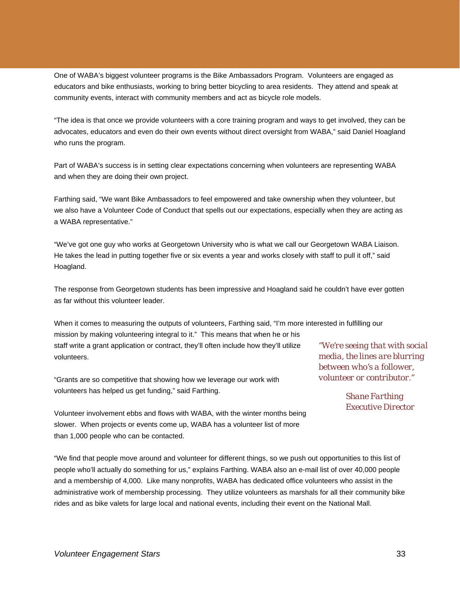One of WABA's biggest volunteer programs is the Bike Ambassadors Program. Volunteers are engaged as educators and bike enthusiasts, working to bring better bicycling to area residents. They attend and speak at community events, interact with community members and act as bicycle role models.

"The idea is that once we provide volunteers with a core training program and ways to get involved, they can be advocates, educators and even do their own events without direct oversight from WABA," said Daniel Hoagland who runs the program.

Part of WABA's success is in setting clear expectations concerning when volunteers are representing WABA and when they are doing their own project.

Farthing said, "We want Bike Ambassadors to feel empowered and take ownership when they volunteer, but we also have a Volunteer Code of Conduct that spells out our expectations, especially when they are acting as a WABA representative."

"We've got one guy who works at Georgetown University who is what we call our Georgetown WABA Liaison. He takes the lead in putting together five or six events a year and works closely with staff to pull it off," said Hoagland.

The response from Georgetown students has been impressive and Hoagland said he couldn't have ever gotten as far without this volunteer leader.

When it comes to measuring the outputs of volunteers, Farthing said, "I'm more interested in fulfilling our mission by making volunteering integral to it." This means that when he or his staff write a grant application or contract, they'll often include how they'll utilize volunteers.

"Grants are so competitive that showing how we leverage our work with volunteers has helped us get funding," said Farthing.

*"We're seeing that with social media, the lines are blurring between who's a follower, volunteer or contributor."* 

> *Shane Farthing Executive Director*

Volunteer involvement ebbs and flows with WABA, with the winter months being slower. When projects or events come up, WABA has a volunteer list of more than 1,000 people who can be contacted.

"We find that people move around and volunteer for different things, so we push out opportunities to this list of people who'll actually do something for us," explains Farthing. WABA also an e-mail list of over 40,000 people and a membership of 4,000. Like many nonprofits, WABA has dedicated office volunteers who assist in the administrative work of membership processing. They utilize volunteers as marshals for all their community bike rides and as bike valets for large local and national events, including their event on the National Mall.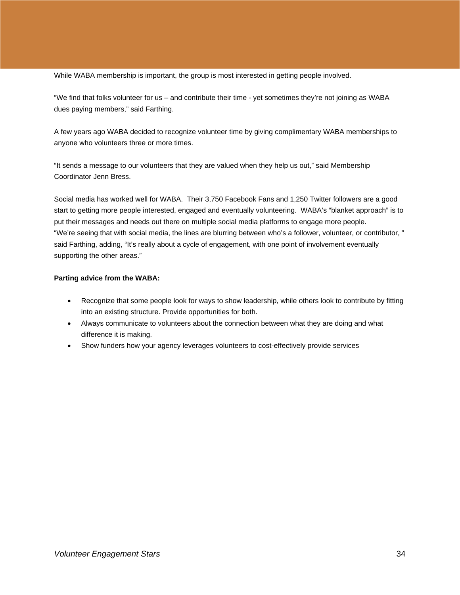While WABA membership is important, the group is most interested in getting people involved.

"We find that folks volunteer for us – and contribute their time - yet sometimes they're not joining as WABA dues paying members," said Farthing.

A few years ago WABA decided to recognize volunteer time by giving complimentary WABA memberships to anyone who volunteers three or more times.

"It sends a message to our volunteers that they are valued when they help us out," said Membership Coordinator Jenn Bress.

Social media has worked well for WABA. Their 3,750 Facebook Fans and 1,250 Twitter followers are a good start to getting more people interested, engaged and eventually volunteering. WABA's "blanket approach" is to put their messages and needs out there on multiple social media platforms to engage more people. "We're seeing that with social media, the lines are blurring between who's a follower, volunteer, or contributor, " said Farthing, adding, "It's really about a cycle of engagement, with one point of involvement eventually supporting the other areas."

## **Parting advice from the WABA:**

- Recognize that some people look for ways to show leadership, while others look to contribute by fitting into an existing structure. Provide opportunities for both.
- Always communicate to volunteers about the connection between what they are doing and what difference it is making.
- Show funders how your agency leverages volunteers to cost-effectively provide services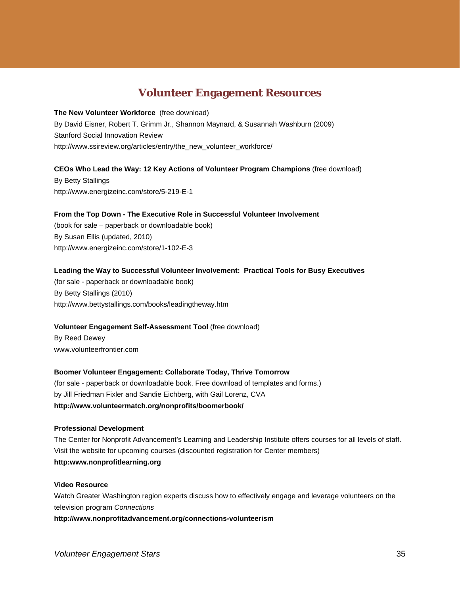## **Volunteer Engagement Resources**

**The New Volunteer Workforce** (free download) By David Eisner, Robert T. Grimm Jr., Shannon Maynard, & Susannah Washburn (2009) Stanford Social Innovation Review http://www.ssireview.org/articles/entry/the\_new\_volunteer\_workforce/

## **CEOs Who Lead the Way: 12 Key Actions of Volunteer Program Champions** (free download)

By Betty Stallings http://www.energizeinc.com/store/5-219-E-1

## **From the Top Down - The Executive Role in Successful Volunteer Involvement**

(book for sale – paperback or downloadable book) By Susan Ellis (updated, 2010) http://www.energizeinc.com/store/1-102-E-3

## **Leading the Way to Successful Volunteer Involvement: Practical Tools for Busy Executives**

(for sale - paperback or downloadable book) By Betty Stallings (2010) http://www.bettystallings.com/books/leadingtheway.htm

## **Volunteer Engagement Self-Assessment Tool** (free download)

By Reed Dewey www.volunteerfrontier.com

## **Boomer Volunteer Engagement: Collaborate Today, Thrive Tomorrow**

(for sale - paperback or downloadable book. Free download of templates and forms.) by Jill Friedman Fixler and Sandie Eichberg, with Gail Lorenz, CVA **http://www.volunteermatch.org/nonprofits/boomerbook/**

#### **Professional Development**

The Center for Nonprofit Advancement's Learning and Leadership Institute offers courses for all levels of staff. Visit the website for upcoming courses (discounted registration for Center members) **http:www.nonprofitlearning.org** 

#### **Video Resource**

Watch Greater Washington region experts discuss how to effectively engage and leverage volunteers on the television program *Connections* 

**http://www.nonprofitadvancement.org/connections-volunteerism**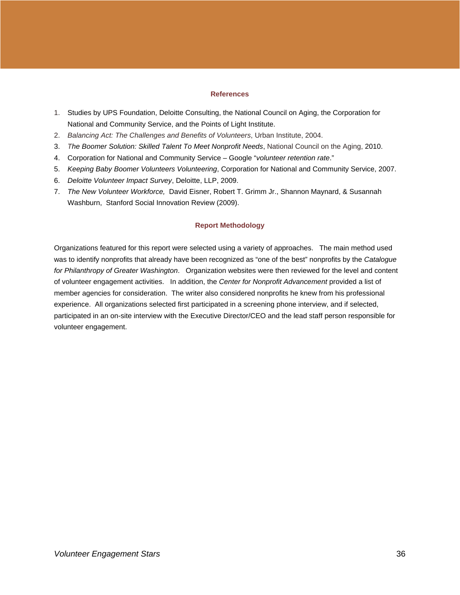## **References**

- 1. Studies by UPS Foundation, Deloitte Consulting, the National Council on Aging, the Corporation for National and Community Service, and the Points of Light Institute.
- 2. *Balancing Act: The Challenges and Benefits of Volunteers*, Urban Institute, 2004.
- 3. *The Boomer Solution: Skilled Talent To Meet Nonprofit Needs*, National Council on the Aging, 2010.
- 4. Corporation for National and Community Service Google "*volunteer retention rate*."
- 5. *Keeping Baby Boomer Volunteers Volunteering*, Corporation for National and Community Service, 2007.
- 6. *Deloitte Volunteer Impact Survey*, Deloitte, LLP, 2009.
- 7. *The New Volunteer Workforce,*David Eisner, Robert T. Grimm Jr., Shannon Maynard, & Susannah Washburn, Stanford Social Innovation Review (2009).

## **Report Methodology**

Organizations featured for this report were selected using a variety of approaches. The main method used was to identify nonprofits that already have been recognized as "one of the best" nonprofits by the *Catalogue for Philanthropy of Greater Washington*. Organization websites were then reviewed for the level and content of volunteer engagement activities. In addition, the *Center for Nonprofit Advancement* provided a list of member agencies for consideration. The writer also considered nonprofits he knew from his professional experience. All organizations selected first participated in a screening phone interview, and if selected, participated in an on-site interview with the Executive Director/CEO and the lead staff person responsible for volunteer engagement.